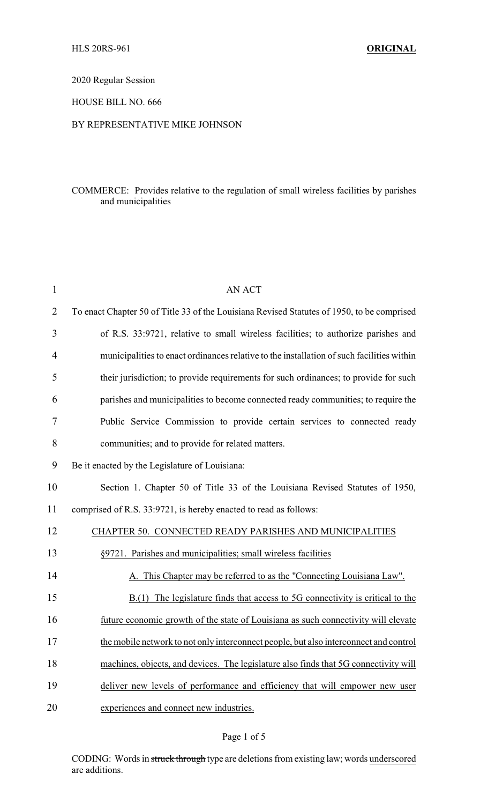2020 Regular Session

HOUSE BILL NO. 666

## BY REPRESENTATIVE MIKE JOHNSON

## COMMERCE: Provides relative to the regulation of small wireless facilities by parishes and municipalities

| <b>AN ACT</b>                                                                              |
|--------------------------------------------------------------------------------------------|
| To enact Chapter 50 of Title 33 of the Louisiana Revised Statutes of 1950, to be comprised |
| of R.S. 33:9721, relative to small wireless facilities; to authorize parishes and          |
| municipalities to enact ordinances relative to the installation of such facilities within  |
| their jurisdiction; to provide requirements for such ordinances; to provide for such       |
| parishes and municipalities to become connected ready communities; to require the          |
| Public Service Commission to provide certain services to connected ready                   |
| communities; and to provide for related matters.                                           |
| Be it enacted by the Legislature of Louisiana:                                             |
| Section 1. Chapter 50 of Title 33 of the Louisiana Revised Statutes of 1950,               |
| comprised of R.S. 33:9721, is hereby enacted to read as follows:                           |
| CHAPTER 50. CONNECTED READY PARISHES AND MUNICIPALITIES                                    |
| §9721. Parishes and municipalities; small wireless facilities                              |
| A. This Chapter may be referred to as the "Connecting Louisiana Law".                      |
| The legislature finds that access to 5G connectivity is critical to the<br>B(1)            |
| future economic growth of the state of Louisiana as such connectivity will elevate         |
| the mobile network to not only interconnect people, but also interconnect and control      |
| machines, objects, and devices. The legislature also finds that 5G connectivity will       |
| deliver new levels of performance and efficiency that will empower new user                |
| experiences and connect new industries.                                                    |
|                                                                                            |

## Page 1 of 5

CODING: Words in struck through type are deletions from existing law; words underscored are additions.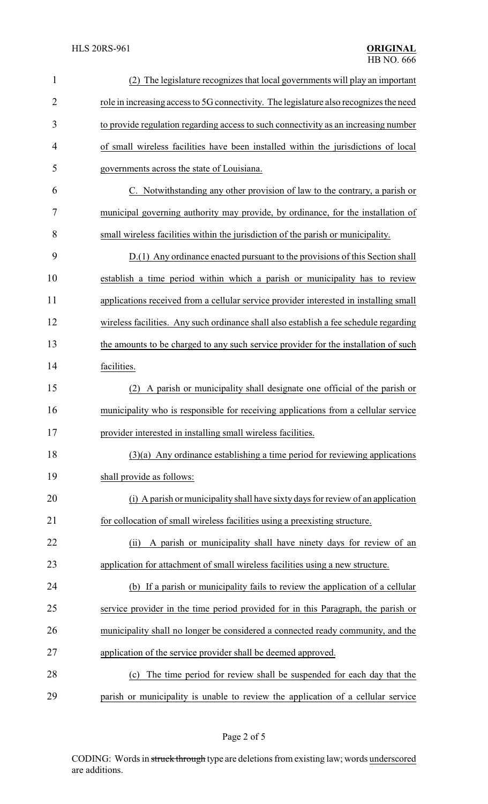| $\mathbf{1}$   | The legislature recognizes that local governments will play an important               |
|----------------|----------------------------------------------------------------------------------------|
| $\overline{2}$ | role in increasing access to 5G connectivity. The legislature also recognizes the need |
| 3              | to provide regulation regarding access to such connectivity as an increasing number    |
| 4              | of small wireless facilities have been installed within the jurisdictions of local     |
| 5              | governments across the state of Louisiana.                                             |
| 6              | C. Notwithstanding any other provision of law to the contrary, a parish or             |
| 7              | municipal governing authority may provide, by ordinance, for the installation of       |
| 8              | small wireless facilities within the jurisdiction of the parish or municipality.       |
| 9              | $D(1)$ Any ordinance enacted pursuant to the provisions of this Section shall          |
| 10             | establish a time period within which a parish or municipality has to review            |
| 11             | applications received from a cellular service provider interested in installing small  |
| 12             | wireless facilities. Any such ordinance shall also establish a fee schedule regarding  |
| 13             | the amounts to be charged to any such service provider for the installation of such    |
| 14             | facilities.                                                                            |
| 15             | A parish or municipality shall designate one official of the parish or<br>(2)          |
| 16             | municipality who is responsible for receiving applications from a cellular service     |
| 17             | provider interested in installing small wireless facilities                            |
| 18             | $(3)(a)$ Any ordinance establishing a time period for reviewing applications           |
| 19             | shall provide as follows:                                                              |
| 20             | (i) A parish or municipality shall have sixty days for review of an application        |
| 21             | for collocation of small wireless facilities using a preexisting structure.            |
| 22             | A parish or municipality shall have ninety days for review of an<br>(ii)               |
| 23             | application for attachment of small wireless facilities using a new structure.         |
| 24             | (b) If a parish or municipality fails to review the application of a cellular          |
| 25             | service provider in the time period provided for in this Paragraph, the parish or      |
| 26             | municipality shall no longer be considered a connected ready community, and the        |
| 27             | application of the service provider shall be deemed approved.                          |
| 28             | The time period for review shall be suspended for each day that the<br>(c)             |
| 29             | parish or municipality is unable to review the application of a cellular service       |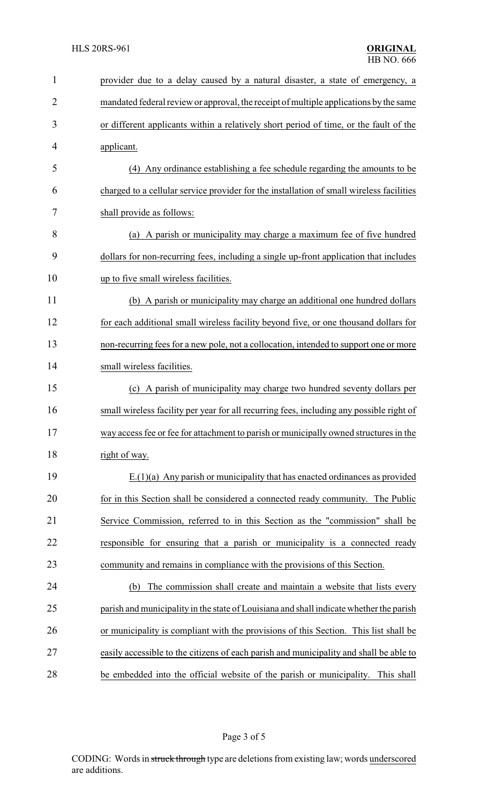| $\mathbf{1}$   | provider due to a delay caused by a natural disaster, a state of emergency, a            |
|----------------|------------------------------------------------------------------------------------------|
| $\overline{2}$ | mandated federal review or approval, the receipt of multiple applications by the same    |
| 3              | or different applicants within a relatively short period of time, or the fault of the    |
| 4              | applicant.                                                                               |
| 5              | (4) Any ordinance establishing a fee schedule regarding the amounts to be                |
| 6              | charged to a cellular service provider for the installation of small wireless facilities |
| 7              | shall provide as follows:                                                                |
| 8              | (a) A parish or municipality may charge a maximum fee of five hundred                    |
| 9              | dollars for non-recurring fees, including a single up-front application that includes    |
| 10             | up to five small wireless facilities.                                                    |
| 11             | (b) A parish or municipality may charge an additional one hundred dollars                |
| 12             | for each additional small wireless facility beyond five, or one thousand dollars for     |
| 13             | non-recurring fees for a new pole, not a collocation, intended to support one or more    |
| 14             | small wireless facilities.                                                               |
| 15             | (c) A parish of municipality may charge two hundred seventy dollars per                  |
| 16             | small wireless facility per year for all recurring fees, including any possible right of |
| 17             | way access fee or fee for attachment to parish or municipally owned structures in the    |
| 18             | right of way.                                                                            |
| 19             | $E(1)(a)$ Any parish or municipality that has enacted ordinances as provided             |
| 20             | for in this Section shall be considered a connected ready community. The Public          |
| 21             | Service Commission, referred to in this Section as the "commission" shall be             |
| 22             | responsible for ensuring that a parish or municipality is a connected ready              |
| 23             | community and remains in compliance with the provisions of this Section.                 |
| 24             | The commission shall create and maintain a website that lists every<br>(b)               |
| 25             | parish and municipality in the state of Louisiana and shall indicate whether the parish  |
| 26             | or municipality is compliant with the provisions of this Section. This list shall be     |
| 27             | easily accessible to the citizens of each parish and municipality and shall be able to   |
| 28             | be embedded into the official website of the parish or municipality. This shall          |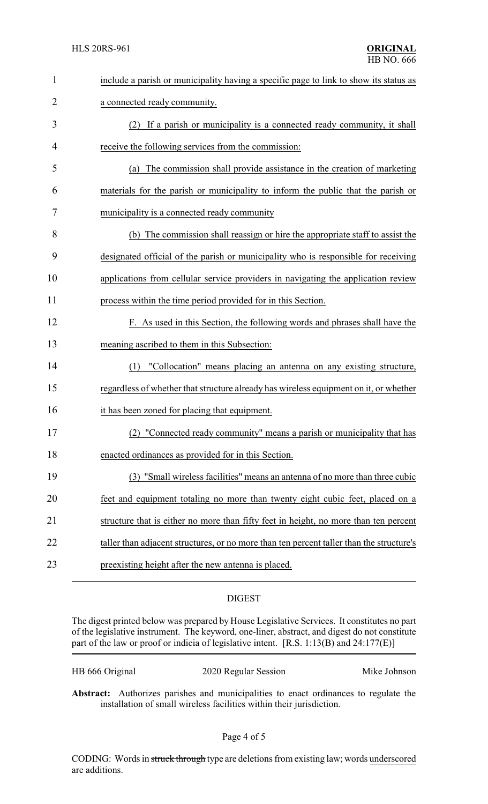| $\mathbf{1}$ | include a parish or municipality having a specific page to link to show its status as    |
|--------------|------------------------------------------------------------------------------------------|
| 2            | a connected ready community.                                                             |
| 3            | (2) If a parish or municipality is a connected ready community, it shall                 |
| 4            | receive the following services from the commission:                                      |
| 5            | (a) The commission shall provide assistance in the creation of marketing                 |
| 6            | materials for the parish or municipality to inform the public that the parish or         |
| 7            | municipality is a connected ready community                                              |
| 8            | (b) The commission shall reassign or hire the appropriate staff to assist the            |
| 9            | designated official of the parish or municipality who is responsible for receiving       |
| 10           | applications from cellular service providers in navigating the application review        |
| 11           | process within the time period provided for in this Section.                             |
| 12           | F. As used in this Section, the following words and phrases shall have the               |
| 13           | meaning ascribed to them in this Subsection:                                             |
| 14           | "Collocation" means placing an antenna on any existing structure,<br>(1)                 |
| 15           | regardless of whether that structure already has wireless equipment on it, or whether    |
| 16           | it has been zoned for placing that equipment.                                            |
| 17           | (2) "Connected ready community" means a parish or municipality that has                  |
| 18           | enacted ordinances as provided for in this Section.                                      |
| 19           | (3) "Small wireless facilities" means an antenna of no more than three cubic             |
| 20           | feet and equipment totaling no more than twenty eight cubic feet, placed on a            |
| 21           | structure that is either no more than fifty feet in height, no more than ten percent     |
| 22           | taller than adjacent structures, or no more than ten percent taller than the structure's |
| 23           | preexisting height after the new antenna is placed.                                      |

## DIGEST

The digest printed below was prepared by House Legislative Services. It constitutes no part of the legislative instrument. The keyword, one-liner, abstract, and digest do not constitute part of the law or proof or indicia of legislative intent. [R.S. 1:13(B) and 24:177(E)]

HB 666 Original 2020 Regular Session Mike Johnson

**Abstract:** Authorizes parishes and municipalities to enact ordinances to regulate the installation of small wireless facilities within their jurisdiction.

CODING: Words in struck through type are deletions from existing law; words underscored are additions.